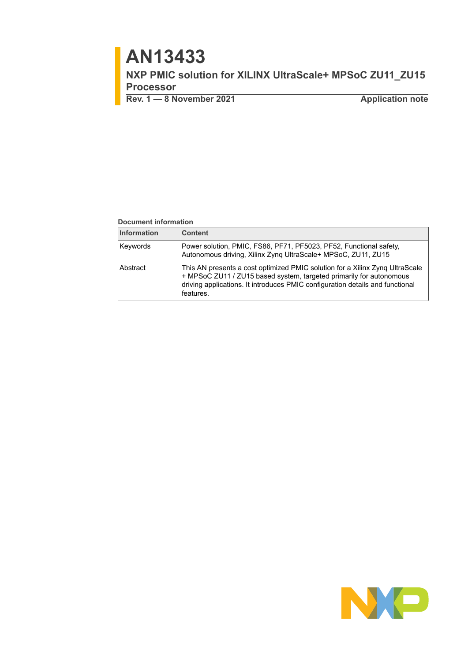# **AN13433**

**NXP PMIC solution for XILINX UltraScale+ MPSoC ZU11\_ZU15 Processor**

**Rev. 1 — 8 November 2021 Application note**

### **Document information**

| <b>Information</b> | <b>Content</b>                                                                                                                                                                                                                                    |
|--------------------|---------------------------------------------------------------------------------------------------------------------------------------------------------------------------------------------------------------------------------------------------|
| Keywords           | Power solution, PMIC, FS86, PF71, PF5023, PF52, Functional safety,<br>Autonomous driving, Xilinx Zynq UltraScale+ MPSoC, ZU11, ZU15                                                                                                               |
| Abstract           | This AN presents a cost optimized PMIC solution for a Xilinx Zyng UltraScale<br>+ MPSoC ZU11 / ZU15 based system, targeted primarily for autonomous<br>driving applications. It introduces PMIC configuration details and functional<br>features. |

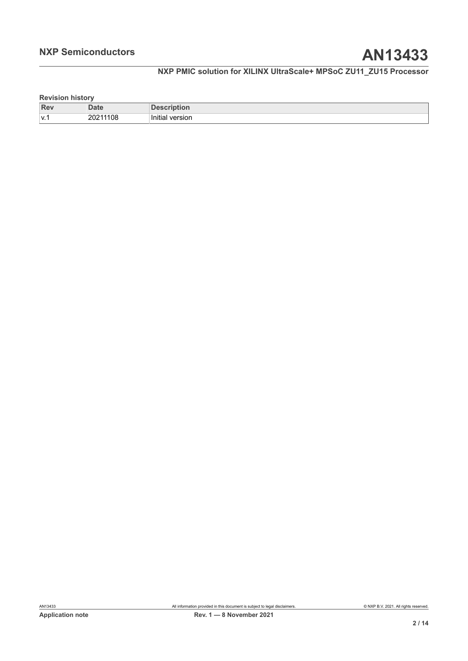### **Revision history**

| <b>Rev</b> | <b>Date</b> | ποπ                     |
|------------|-------------|-------------------------|
| l ۷.1      | 20211108    | .<br>version<br>Initial |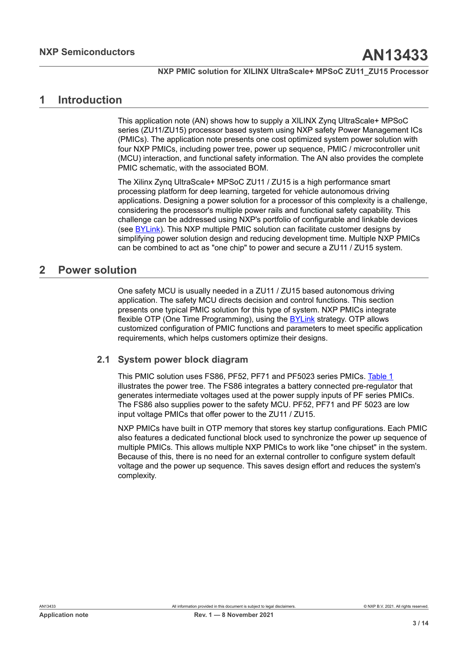## <span id="page-2-0"></span>**1 Introduction**

This application note (AN) shows how to supply a XILINX Zynq UltraScale+ MPSoC series (ZU11/ZU15) processor based system using NXP safety Power Management ICs (PMICs). The application note presents one cost optimized system power solution with four NXP PMICs, including power tree, power up sequence, PMIC / microcontroller unit (MCU) interaction, and functional safety information. The AN also provides the complete PMIC schematic, with the associated BOM.

The Xilinx Zynq UltraScale+ MPSoC ZU11 / ZU15 is a high performance smart processing platform for deep learning, targeted for vehicle autonomous driving applications. Designing a power solution for a processor of this complexity is a challenge, considering the processor's multiple power rails and functional safety capability. This challenge can be addressed using NXP's portfolio of configurable and linkable devices (see [BYLink\)](https://www.nxp.com/products/product-information/bylink-system-power-platform:BYLINK?tid=FSHBNR_20210804). This NXP multiple PMIC solution can facilitate customer designs by simplifying power solution design and reducing development time. Multiple NXP PMICs can be combined to act as "one chip" to power and secure a ZU11 / ZU15 system.

## <span id="page-2-1"></span>**2 Power solution**

One safety MCU is usually needed in a ZU11 / ZU15 based autonomous driving application. The safety MCU directs decision and control functions. This section presents one typical PMIC solution for this type of system. NXP PMICs integrate flexible OTP (One Time Programming), using the [BYLink](https://www.nxp.com/products/product-information/bylink-system-power-platform:BYLINK?tid=FSHBNR_20210804) strategy. OTP allows customized configuration of PMIC functions and parameters to meet specific application requirements, which helps customers optimize their designs.

### **2.1 System power block diagram**

<span id="page-2-2"></span>This PMIC solution uses FS86, PF52, PF71 and PF5023 series PMICs. [Table](#page-3-0) 1 illustrates the power tree. The FS86 integrates a battery connected pre-regulator that generates intermediate voltages used at the power supply inputs of PF series PMICs. The FS86 also supplies power to the safety MCU. PF52, PF71 and PF 5023 are low input voltage PMICs that offer power to the ZU11 / ZU15.

NXP PMICs have built in OTP memory that stores key startup configurations. Each PMIC also features a dedicated functional block used to synchronize the power up sequence of multiple PMICs. This allows multiple NXP PMICs to work like "one chipset" in the system. Because of this, there is no need for an external controller to configure system default voltage and the power up sequence. This saves design effort and reduces the system's complexity.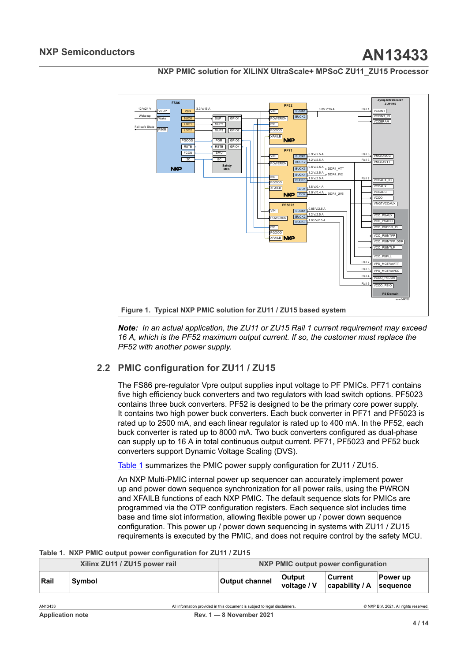

<span id="page-3-1"></span>

*Note: In an actual application, the ZU11 or ZU15 Rail 1 current requirement may exceed 16 A, which is the PF52 maximum output current. If so, the customer must replace the PF52 with another power supply.*

## **2.2 PMIC configuration for ZU11 / ZU15**

<span id="page-3-2"></span>The FS86 pre-regulator Vpre output supplies input voltage to PF PMICs. PF71 contains five high efficiency buck converters and two regulators with load switch options. PF5023 contains three buck converters. PF52 is designed to be the primary core power supply. It contains two high power buck converters. Each buck converter in PF71 and PF5023 is rated up to 2500 mA, and each linear regulator is rated up to 400 mA. In the PF52, each buck converter is rated up to 8000 mA. Two buck converters configured as dual-phase can supply up to 16 A in total continuous output current. PF71, PF5023 and PF52 buck converters support Dynamic Voltage Scaling (DVS).

[Table](#page-3-0) 1 summarizes the PMIC power supply configuration for ZU11 / ZU15.

<span id="page-3-0"></span>An NXP Multi-PMIC internal power up sequencer can accurately implement power up and power down sequence synchronization for all power rails, using the PWRON and XFAILB functions of each NXP PMIC. The default sequence slots for PMICs are programmed via the OTP configuration registers. Each sequence slot includes time base and time slot information, allowing flexible power up / power down sequence configuration. This power up / power down sequencing in systems with ZU11 / ZU15 requirements is executed by the PMIC, and does not require control by the safety MCU.

|  |  | Table 1. NXP PMIC output power configuration for ZU11 / ZU15 |  |
|--|--|--------------------------------------------------------------|--|
|  |  |                                                              |  |

| Xilinx ZU11 / ZU15 power rail |        |                                                                            | NXP PMIC output power configuration |                           |                                       |  |  |
|-------------------------------|--------|----------------------------------------------------------------------------|-------------------------------------|---------------------------|---------------------------------------|--|--|
| Rail                          | Symbol | <b>Output channel</b>                                                      | <b>Output</b><br>voltage / V        | Current<br>capability / A | Power up<br>sequence                  |  |  |
| AN13433                       |        | All information provided in this document is subject to legal disclaimers. |                                     |                           | © NXP B.V. 2021. All rights reserved. |  |  |
| <b>Application note</b>       |        | Rev. $1 - 8$ November 2021                                                 |                                     |                           |                                       |  |  |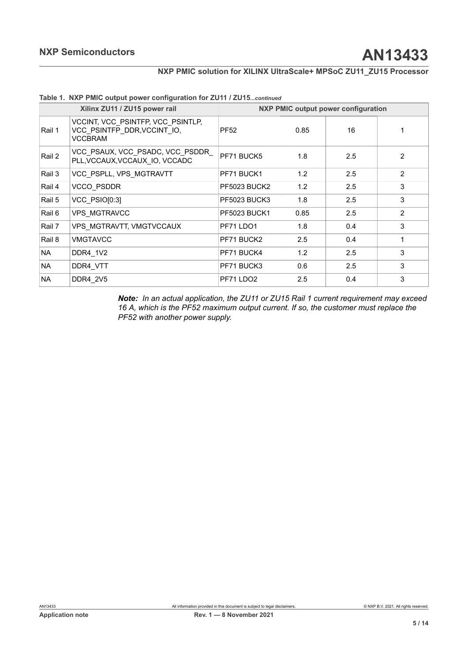|           | Xilinx ZU11 / ZU15 power rail                                                      |                     |      | <b>NXP PMIC output power configuration</b> |                |
|-----------|------------------------------------------------------------------------------------|---------------------|------|--------------------------------------------|----------------|
| Rail 1    | VCCINT, VCC PSINTFP, VCC PSINTLP,<br>VCC PSINTFP DDR, VCCINT IO,<br><b>VCCBRAM</b> | <b>PF52</b>         | 0.85 | 16                                         | 1              |
| Rail 2    | VCC PSAUX, VCC PSADC, VCC PSDDR<br>PLL, VCCAUX, VCCAUX IO, VCCADC                  | PF71 BUCK5          | 1.8  | 2.5                                        | 2              |
| Rail 3    | VCC PSPLL, VPS MGTRAVTT                                                            | PF71 BUCK1          | 1.2  | 2.5                                        | 2              |
| Rail 4    | VCCO PSDDR                                                                         | <b>PF5023 BUCK2</b> | 1.2  | 2.5                                        | 3              |
| Rail 5    | VCC PSIO[0:3]                                                                      | <b>PF5023 BUCK3</b> | 1.8  | 2.5                                        | 3              |
| Rail 6    | <b>VPS MGTRAVCC</b>                                                                | <b>PF5023 BUCK1</b> | 0.85 | 2.5                                        | $\overline{2}$ |
| Rail 7    | VPS MGTRAVTT, VMGTVCCAUX                                                           | PF71 LDO1           | 1.8  | 0.4                                        | 3              |
| Rail 8    | <b>VMGTAVCC</b>                                                                    | PF71 BUCK2          | 2.5  | 0.4                                        | $\mathbf 1$    |
| NA.       | DDR4 1V2                                                                           | PF71 BUCK4          | 1.2  | 2.5                                        | 3              |
| NA.       | DDR4 VTT                                                                           | PF71 BUCK3          | 0.6  | 2.5                                        | 3              |
| <b>NA</b> | DDR4 2V5                                                                           | PF71 LDO2           | 2.5  | 0.4                                        | 3              |

### **Table 1. NXP PMIC output power configuration for ZU11 / ZU15***...continued*

*Note: In an actual application, the ZU11 or ZU15 Rail 1 current requirement may exceed 16 A, which is the PF52 maximum output current. If so, the customer must replace the PF52 with another power supply.*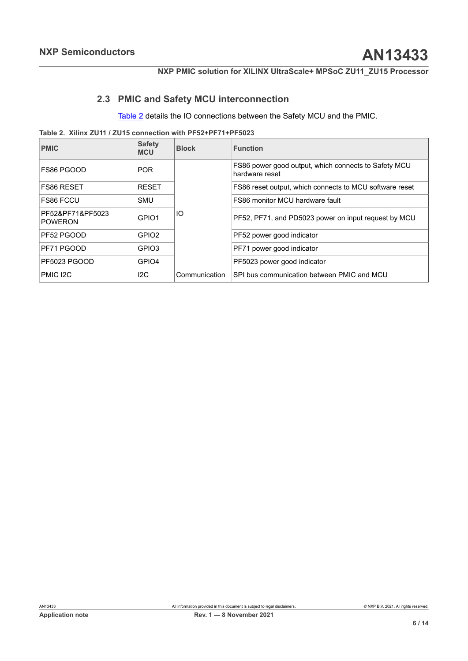## **2.3 PMIC and Safety MCU interconnection**

<span id="page-5-1"></span><span id="page-5-0"></span>[Table](#page-5-0) 2 details the IO connections between the Safety MCU and the PMIC.

**Table 2. Xilinx ZU11 / ZU15 connection with PF52+PF71+PF5023**

| <b>PMIC</b>                        | <b>Safety</b><br><b>MCU</b> | <b>Block</b>                                               | <b>Function</b>                                                        |
|------------------------------------|-----------------------------|------------------------------------------------------------|------------------------------------------------------------------------|
| FS86 PGOOD                         | <b>POR</b>                  |                                                            | FS86 power good output, which connects to Safety MCU<br>hardware reset |
| <b>FS86 RESET</b>                  | <b>RESET</b>                |                                                            | FS86 reset output, which connects to MCU software reset                |
| <b>FS86 FCCU</b>                   | <b>SMU</b>                  |                                                            | FS86 monitor MCU hardware fault                                        |
| PF52&PF71&PF5023<br><b>POWERON</b> | GPIO <sub>1</sub>           | IO<br>PF52, PF71, and PD5023 power on input request by MCU |                                                                        |
| PF52 PGOOD                         | GPIO <sub>2</sub>           |                                                            | PF52 power good indicator                                              |
| PF71 PGOOD                         | GPIO3                       |                                                            | PF71 power good indicator                                              |
| PF5023 PGOOD                       | GPIO4                       |                                                            | PF5023 power good indicator                                            |
| PMIC I2C                           | 12C                         | Communication                                              | SPI bus communication between PMIC and MCU                             |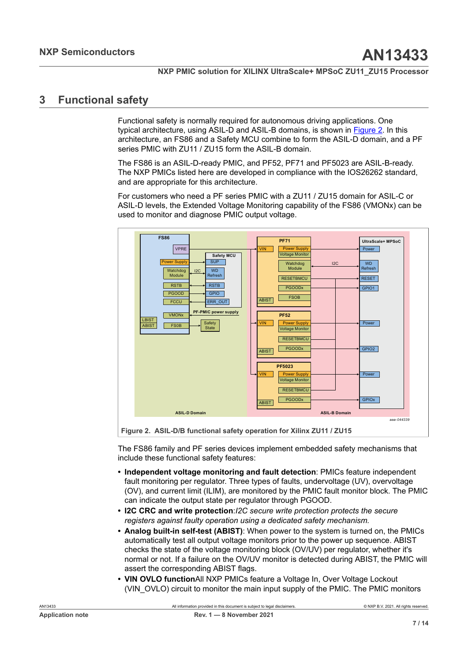## <span id="page-6-1"></span>**3 Functional safety**

Functional safety is normally required for autonomous driving applications. One typical architecture, using ASIL-D and ASIL-B domains, is shown in [Figure 2.](#page-6-0) In this architecture, an FS86 and a Safety MCU combine to form the ASIL-D domain, and a PF series PMIC with ZU11 / ZU15 form the ASIL-B domain.

The FS86 is an ASIL-D-ready PMIC, and PF52, PF71 and PF5023 are ASIL-B-ready. The NXP PMICs listed here are developed in compliance with the IOS26262 standard, and are appropriate for this architecture.

For customers who need a PF series PMIC with a ZU11 / ZU15 domain for ASIL-C or ASIL-D levels, the Extended Voltage Monitoring capability of the FS86 (VMONx) can be used to monitor and diagnose PMIC output voltage.

<span id="page-6-0"></span>

**Figure 2. ASIL-D/B functional safety operation for Xilinx ZU11 / ZU15**

The FS86 family and PF series devices implement embedded safety mechanisms that include these functional safety features:

- **• Independent voltage monitoring and fault detection**: PMICs feature independent fault monitoring per regulator. Three types of faults, undervoltage (UV), overvoltage (OV), and current limit (ILIM), are monitored by the PMIC fault monitor block. The PMIC can indicate the output state per regulator through PGOOD.
- **• I2C CRC and write protection**:*I2C secure write protection protects the secure registers against faulty operation using a dedicated safety mechanism.*
- **• Analog built-in self-test (ABIST)**: When power to the system is turned on, the PMICs automatically test all output voltage monitors prior to the power up sequence. ABIST checks the state of the voltage monitoring block (OV/UV) per regulator, whether it's normal or not. If a failure on the OV/UV monitor is detected during ABIST, the PMIC will assert the corresponding ABIST flags.
- **• VIN OVLO function**All NXP PMICs feature a Voltage In, Over Voltage Lockout (VIN\_OVLO) circuit to monitor the main input supply of the PMIC. The PMIC monitors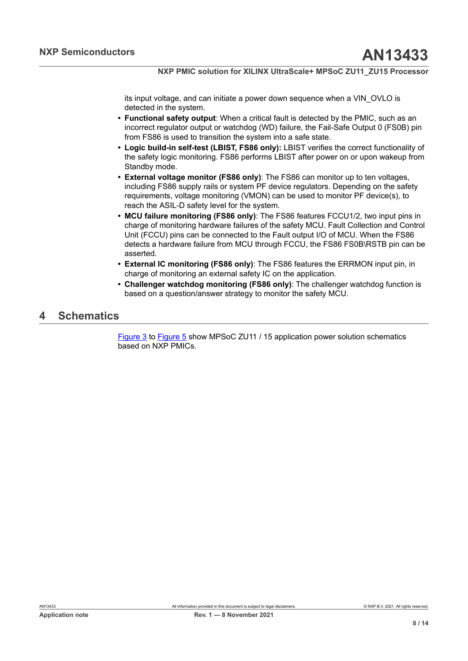its input voltage, and can initiate a power down sequence when a VIN\_OVLO is detected in the system.

- **• Functional safety output**: When a critical fault is detected by the PMIC, such as an incorrect regulator output or watchdog (WD) failure, the Fail-Safe Output 0 (FS0B) pin from FS86 is used to transition the system into a safe state.
- **• Logic build-in self-test (LBIST, FS86 only):** LBIST verifies the correct functionality of the safety logic monitoring. FS86 performs LBIST after power on or upon wakeup from Standby mode.
- **• External voltage monitor (FS86 only)**: The FS86 can monitor up to ten voltages, including FS86 supply rails or system PF device regulators. Depending on the safety requirements, voltage monitoring (VMON) can be used to monitor PF device(s), to reach the ASIL-D safety level for the system.
- **• MCU failure monitoring (FS86 only)**: The FS86 features FCCU1/2, two input pins in charge of monitoring hardware failures of the safety MCU. Fault Collection and Control Unit (FCCU) pins can be connected to the Fault output I/O of MCU. When the FS86 detects a hardware failure from MCU through FCCU, the FS86 FS0B\RSTB pin can be asserted.
- **• External IC monitoring (FS86 only)**: The FS86 features the ERRMON input pin, in charge of monitoring an external safety IC on the application.
- **• Challenger watchdog monitoring (FS86 only)**: The challenger watchdog function is based on a question/answer strategy to monitor the safety MCU.

## <span id="page-7-0"></span>**4 Schematics**

[Figure 3](#page-8-0) to [Figure 5](#page-9-0) show MPSoC ZU11 / 15 application power solution schematics based on NXP PMICs.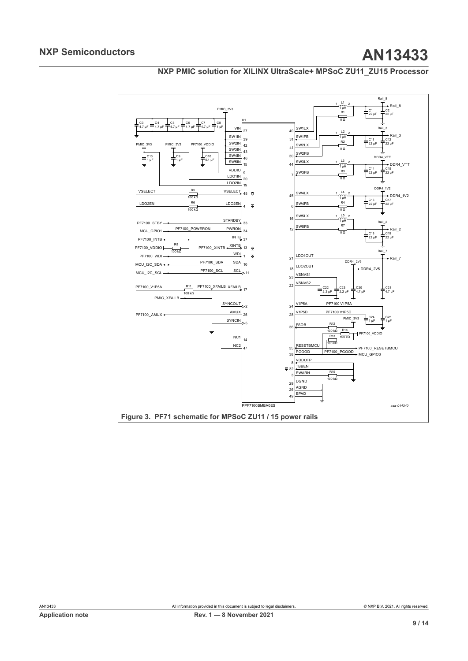

<span id="page-8-0"></span>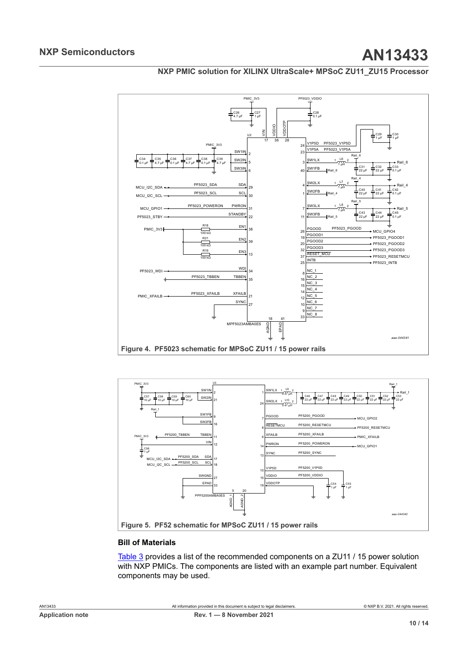<span id="page-9-1"></span>

<span id="page-9-0"></span>

### **Bill of Materials**

[Table](#page-10-0) 3 provides a list of the recommended components on a ZU11 / 15 power solution with NXP PMICs. The components are listed with an example part number. Equivalent components may be used.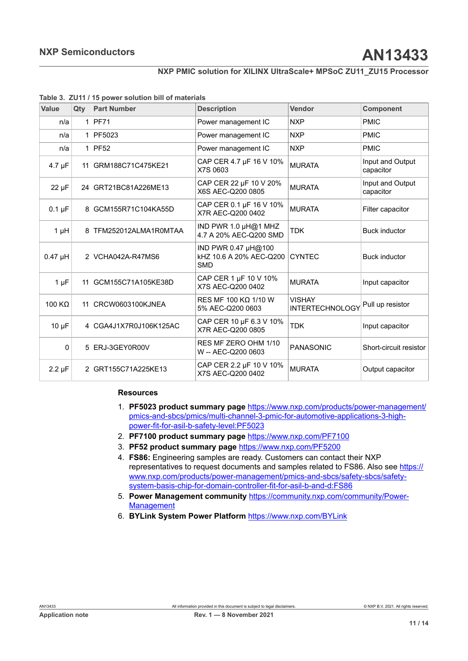<span id="page-10-0"></span>

| Value         | Qty            | <b>Part Number</b>     | <b>Description</b>                                           | Vendor                                  | Component                     |
|---------------|----------------|------------------------|--------------------------------------------------------------|-----------------------------------------|-------------------------------|
| n/a           |                | $1$   PF71             | Power management IC                                          | <b>NXP</b>                              | <b>PMIC</b>                   |
| n/a           |                | 1 PF5023               | Power management IC                                          | <b>NXP</b>                              | <b>PMIC</b>                   |
| n/a           |                | $1$ PF52               | Power management IC                                          | <b>NXP</b>                              | <b>PMIC</b>                   |
| $4.7 \mu F$   |                | 11 GRM188C71C475KE21   | CAP CER 4.7 µF 16 V 10%<br>X7S 0603                          | <b>MURATA</b>                           | Input and Output<br>capacitor |
| $22 \mu F$    |                | 24 GRT21BC81A226ME13   | CAP CER 22 µF 10 V 20%<br>X6S AEC-Q200 0805                  | <b>MURATA</b>                           | Input and Output<br>capacitor |
| $0.1 \mu F$   |                | 8 GCM155R71C104KA55D   | CAP CER 0.1 µF 16 V 10%<br>X7R AEC-Q200 0402                 | <b>MURATA</b>                           | Filter capacitor              |
| $1 \mu H$     |                | 8 TFM252012ALMA1R0MTAA | IND PWR 1.0 $\mu$ H@1 MHZ<br>4.7 A 20% AEC-Q200 SMD          | <b>TDK</b>                              | <b>Buck inductor</b>          |
| $0.47$ µH     |                | 2 VCHA042A-R47MS6      | IND PWR 0.47 µH@100<br>kHZ 10.6 A 20% AEC-Q200<br><b>SMD</b> | <b>CYNTEC</b>                           | <b>Buck inductor</b>          |
| $1 \mu F$     |                | 11 GCM155C71A105KE38D  | CAP CER 1 µF 10 V 10%<br>X7S AEC-Q200 0402                   | <b>MURATA</b>                           | Input capacitor               |
| 100 $K\Omega$ | 11             | CRCW0603100KJNEA       | RES MF 100 KΩ 1/10 W<br>5% AEC-Q200 0603                     | <b>VISHAY</b><br><b>INTERTECHNOLOGY</b> | Pull up resistor              |
| $10 \mu F$    |                | 4 CGA4J1X7R0J106K125AC | CAP CER 10 µF 6.3 V 10%<br>X7R AEC-Q200 0805                 | <b>TDK</b>                              | Input capacitor               |
| $\mathbf{0}$  | 5              | ERJ-3GEY0R00V          | RES MF ZERO OHM 1/10<br>W -- AEC-Q200 0603                   | <b>PANASONIC</b>                        | Short-circuit resistor        |
| $2.2 \mu F$   | $\overline{2}$ | GRT155C71A225KE13      | CAP CER 2.2 µF 10 V 10%<br>X7S AEC-Q200 0402                 | <b>MURATA</b>                           | Output capacitor              |

### **Resources**

- 1. **PF5023 product summary page** [https://www.nxp.com/products/power-management/](https://www.nxp.com/products/power-management/pmics-and-sbcs/pmics/multi-channel-3-pmic-for-automotive-applications-3-high-power-fit-for-asil-b-safety-level:PF5023) [pmics-and-sbcs/pmics/multi-channel-3-pmic-for-automotive-applications-3-high](https://www.nxp.com/products/power-management/pmics-and-sbcs/pmics/multi-channel-3-pmic-for-automotive-applications-3-high-power-fit-for-asil-b-safety-level:PF5023)[power-fit-for-asil-b-safety-level:PF5023](https://www.nxp.com/products/power-management/pmics-and-sbcs/pmics/multi-channel-3-pmic-for-automotive-applications-3-high-power-fit-for-asil-b-safety-level:PF5023)
- 2. **PF7100 product summary page** <https://www.nxp.com/PF7100>
- 3. **PF52 product summary page** [https://www.nxp.com/PF5200](https://www.nxp.com/products/power-management/pmics-and-sbcs/pmics/dual-channel-pmic-for-automotive-applications-2-high-efficient-lvbuck-fit-for-asil-b-safety-level:PF5200)
- 4. **FS86:** Engineering samples are ready. Customers can contact their NXP representatives to request documents and samples related to FS86. Also see [https://](https://www.nxp.com/products/power-management/pmics-and-sbcs/safety-sbcs/safety-system-basis-chip-for-domain-controller-fit-for-asil-b-and-d:FS86) [www.nxp.com/products/power-management/pmics-and-sbcs/safety-sbcs/safety](https://www.nxp.com/products/power-management/pmics-and-sbcs/safety-sbcs/safety-system-basis-chip-for-domain-controller-fit-for-asil-b-and-d:FS86)[system-basis-chip-for-domain-controller-fit-for-asil-b-and-d:FS86](https://www.nxp.com/products/power-management/pmics-and-sbcs/safety-sbcs/safety-system-basis-chip-for-domain-controller-fit-for-asil-b-and-d:FS86)
- 5. **Power Management community** [https://community.nxp.com/community/Power-](https://community.nxp.com/community/Power-Management)**[Management](https://community.nxp.com/community/Power-Management)**
- 6. **BYLink System Power Platform** [https://www.nxp.com/BYLink](https://www.nxp.com/products/product-information/bylink-system-power-platform:BYLINK)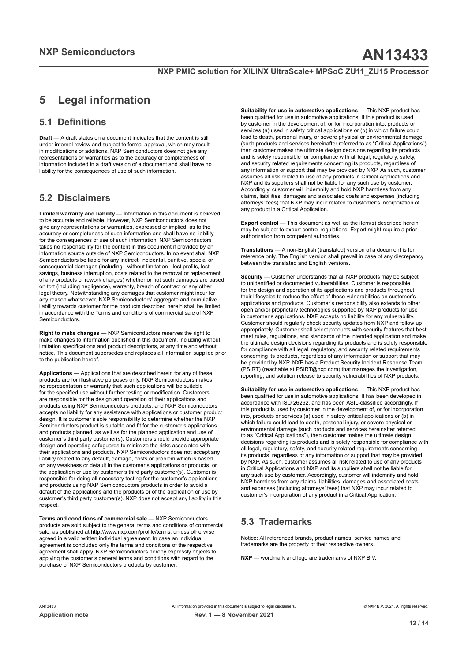## <span id="page-11-0"></span>**5 Legal information**

## **5.1 Definitions**

**Draft** — A draft status on a document indicates that the content is still under internal review and subject to formal approval, which may result in modifications or additions. NXP Semiconductors does not give any representations or warranties as to the accuracy or completeness of information included in a draft version of a document and shall have no liability for the consequences of use of such information.

## **5.2 Disclaimers**

**Limited warranty and liability** — Information in this document is believed to be accurate and reliable. However, NXP Semiconductors does not give any representations or warranties, expressed or implied, as to the accuracy or completeness of such information and shall have no liability for the consequences of use of such information. NXP Semiconductors takes no responsibility for the content in this document if provided by an information source outside of NXP Semiconductors. In no event shall NXP Semiconductors be liable for any indirect, incidental, punitive, special or consequential damages (including - without limitation - lost profits, lost savings, business interruption, costs related to the removal or replacement of any products or rework charges) whether or not such damages are based on tort (including negligence), warranty, breach of contract or any other legal theory. Notwithstanding any damages that customer might incur for any reason whatsoever, NXP Semiconductors' aggregate and cumulative liability towards customer for the products described herein shall be limited in accordance with the Terms and conditions of commercial sale of NXP Semiconductors.

**Right to make changes** — NXP Semiconductors reserves the right to make changes to information published in this document, including without limitation specifications and product descriptions, at any time and without notice. This document supersedes and replaces all information supplied prior to the publication hereof.

**Applications** — Applications that are described herein for any of these products are for illustrative purposes only. NXP Semiconductors makes no representation or warranty that such applications will be suitable for the specified use without further testing or modification. Customers are responsible for the design and operation of their applications and products using NXP Semiconductors products, and NXP Semiconductors accepts no liability for any assistance with applications or customer product design. It is customer's sole responsibility to determine whether the NXP Semiconductors product is suitable and fit for the customer's applications and products planned, as well as for the planned application and use of customer's third party customer(s). Customers should provide appropriate design and operating safeguards to minimize the risks associated with their applications and products. NXP Semiconductors does not accept any liability related to any default, damage, costs or problem which is based on any weakness or default in the customer's applications or products, or the application or use by customer's third party customer(s). Customer is responsible for doing all necessary testing for the customer's applications and products using NXP Semiconductors products in order to avoid a default of the applications and the products or of the application or use by customer's third party customer(s). NXP does not accept any liability in this respect

**Terms and conditions of commercial sale** — NXP Semiconductors products are sold subject to the general terms and conditions of commercial sale, as published at http://www.nxp.com/profile/terms, unless otherwise agreed in a valid written individual agreement. In case an individual agreement is concluded only the terms and conditions of the respective agreement shall apply. NXP Semiconductors hereby expressly objects to applying the customer's general terms and conditions with regard to the purchase of NXP Semiconductors products by customer.

**Suitability for use in automotive applications** — This NXP product has been qualified for use in automotive applications. If this product is used by customer in the development of, or for incorporation into, products or services (a) used in safety critical applications or (b) in which failure could lead to death, personal injury, or severe physical or environmental damage (such products and services hereinafter referred to as "Critical Applications"), then customer makes the ultimate design decisions regarding its products and is solely responsible for compliance with all legal, regulatory, safety, and security related requirements concerning its products, regardless of any information or support that may be provided by NXP. As such, customer assumes all risk related to use of any products in Critical Applications and NXP and its suppliers shall not be liable for any such use by customer. Accordingly, customer will indemnify and hold NXP harmless from any claims, liabilities, damages and associated costs and expenses (including attorneys' fees) that NXP may incur related to customer's incorporation of any product in a Critical Application.

**Export control** — This document as well as the item(s) described herein may be subject to export control regulations. Export might require a prior authorization from competent authorities.

**Translations** — A non-English (translated) version of a document is for reference only. The English version shall prevail in case of any discrepancy between the translated and English versions.

**Security** — Customer understands that all NXP products may be subject to unidentified or documented vulnerabilities. Customer is responsible for the design and operation of its applications and products throughout their lifecycles to reduce the effect of these vulnerabilities on customer's applications and products. Customer's responsibility also extends to other open and/or proprietary technologies supported by NXP products for use in customer's applications. NXP accepts no liability for any vulnerability. Customer should regularly check security updates from NXP and follow up appropriately. Customer shall select products with security features that best meet rules, regulations, and standards of the intended application and make the ultimate design decisions regarding its products and is solely responsible for compliance with all legal, regulatory, and security related requirements concerning its products, regardless of any information or support that may be provided by NXP. NXP has a Product Security Incident Response Team (PSIRT) (reachable at PSIRT@nxp.com) that manages the investigation, reporting, and solution release to security vulnerabilities of NXP products.

**Suitability for use in automotive applications** — This NXP product has been qualified for use in automotive applications. It has been developed in accordance with ISO 26262, and has been ASIL-classified accordingly. If this product is used by customer in the development of, or for incorporation into, products or services (a) used in safety critical applications or (b) in which failure could lead to death, personal injury, or severe physical or environmental damage (such products and services hereinafter referred to as "Critical Applications"), then customer makes the ultimate design decisions regarding its products and is solely responsible for compliance with all legal, regulatory, safety, and security related requirements concerning its products, regardless of any information or support that may be provided by NXP. As such, customer assumes all risk related to use of any products in Critical Applications and NXP and its suppliers shall not be liable for any such use by customer. Accordingly, customer will indemnify and hold NXP harmless from any claims, liabilities, damages and associated costs and expenses (including attorneys' fees) that NXP may incur related to customer's incorporation of any product in a Critical Application.

## **5.3 Trademarks**

Notice: All referenced brands, product names, service names and trademarks are the property of their respective owners.

**NXP** — wordmark and logo are trademarks of NXP B.V.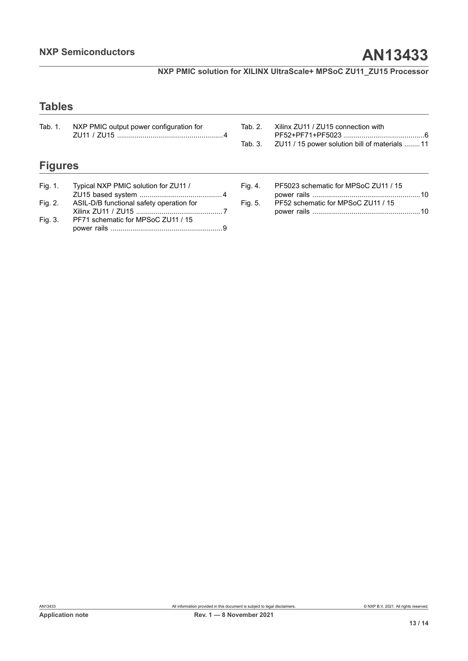[power rails .......................................................10](#page-9-0)

**NXP PMIC solution for XILINX UltraScale+ MPSoC ZU11\_ZU15 Processor**

## **Tables**

| Tab. 1.        | NXP PMIC output power configuration for  | Tab. 2.<br>Tab. 3. | Xilinx ZU11 / ZU15 connection with<br>ZU11 / 15 power solution bill of materials  11 |
|----------------|------------------------------------------|--------------------|--------------------------------------------------------------------------------------|
| <b>Figures</b> |                                          |                    |                                                                                      |
| Fig. 1.        | Typical NXP PMIC solution for ZU11 /     | Fig. 4.            | PF5023 schematic for MPSoC ZU11 / 15                                                 |
| Fig. 2.        | ASIL-D/B functional safety operation for | Fig. 5.            | PF52 schematic for MPSoC ZU11 / 15                                                   |

Xilinx ZU11 / ZU15 [............................................](#page-6-0) 7

[power rails .........................................................9](#page-8-0)

[Fig. 3.](#page-8-0) PF71 [schematic](#page-8-0) for MPSoC ZU11 / 15